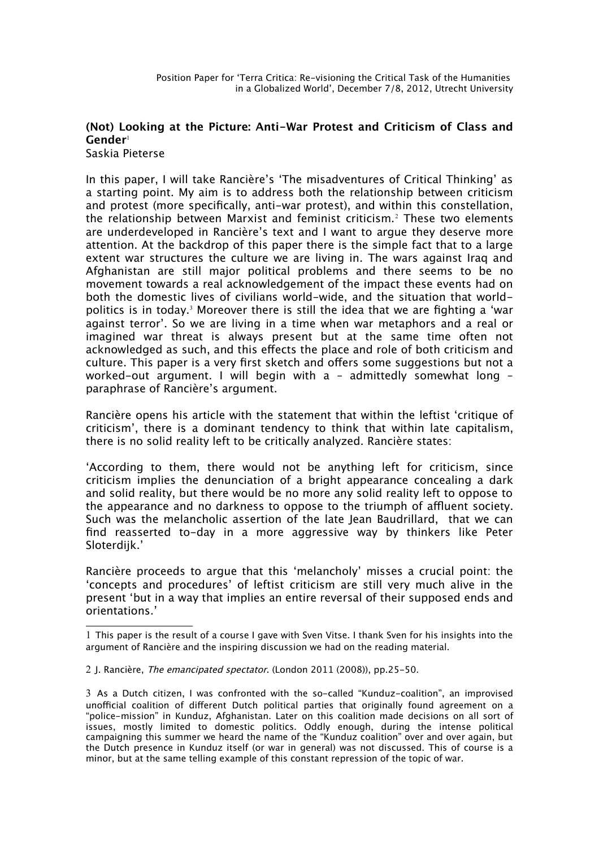## **(Not) Looking at the Picture: Anti-War Protest and Criticism of Class and Gender**[1](#page-0-0)

Saskia Pieterse

In this paper, I will take Rancière's 'The misadventures of Critical Thinking' as a starting point. My aim is to address both the relationship between criticism and protest (more specifcally, anti-war protest), and within this constellation, the relationship between Marxist and feminist criticism.[2](#page-0-1) These two elements are underdeveloped in Rancière's text and I want to argue they deserve more attention. At the backdrop of this paper there is the simple fact that to a large extent war structures the culture we are living in. The wars against Iraq and Afghanistan are still major political problems and there seems to be no movement towards a real acknowledgement of the impact these events had on both the domestic lives of civilians world-wide, and the situation that world-politics is in today.<sup>[3](#page-0-2)</sup> Moreover there is still the idea that we are fighting a 'war against terror'. So we are living in a time when war metaphors and a real or imagined war threat is always present but at the same time often not acknowledged as such, and this efects the place and role of both criticism and culture. This paper is a very frst sketch and ofers some suggestions but not a worked-out argument. I will begin with a – admittedly somewhat long – paraphrase of Rancière's argument.

Rancière opens his article with the statement that within the leftist 'critique of criticism', there is a dominant tendency to think that within late capitalism, there is no solid reality left to be critically analyzed. Rancière states:

'According to them, there would not be anything left for criticism, since criticism implies the denunciation of a bright appearance concealing a dark and solid reality, but there would be no more any solid reality left to oppose to the appearance and no darkness to oppose to the triumph of affluent society. Such was the melancholic assertion of the late Jean Baudrillard, that we can fnd reasserted to-day in a more aggressive way by thinkers like Peter Sloterdijk.'

Rancière proceeds to argue that this 'melancholy' misses a crucial point: the 'concepts and procedures' of leftist criticism are still very much alive in the present 'but in a way that implies an entire reversal of their supposed ends and orientations.'

<span id="page-0-0"></span><sup>1</sup> This paper is the result of a course I gave with Sven Vitse. I thank Sven for his insights into the argument of Rancière and the inspiring discussion we had on the reading material.

<span id="page-0-1"></span><sup>2</sup> J. Rancière, *The emancipated spectator*. (London 2011 (2008)), pp.25–50.

<span id="page-0-2"></span><sup>3</sup> As a Dutch citizen, I was confronted with the so-called "Kunduz-coalition", an improvised unofficial coalition of different Dutch political parties that originally found agreement on a "police-mission" in Kunduz, Afghanistan. Later on this coalition made decisions on all sort of issues, mostly limited to domestic politics. Oddly enough, during the intense political campaigning this summer we heard the name of the "Kunduz coalition" over and over again, but the Dutch presence in Kunduz itself (or war in general) was not discussed. This of course is a minor, but at the same telling example of this constant repression of the topic of war.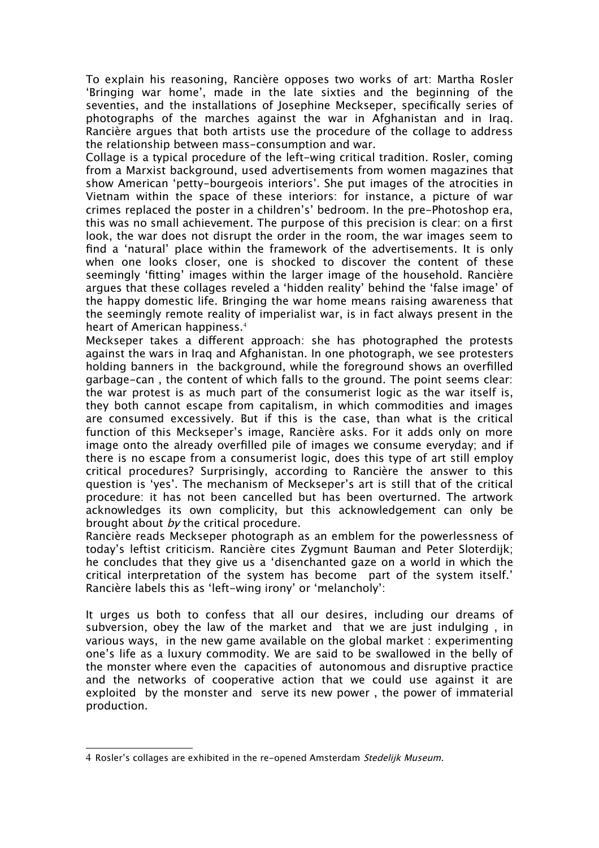To explain his reasoning, Rancière opposes two works of art: Martha Rosler 'Bringing war home', made in the late sixties and the beginning of the seventies, and the installations of Josephine Meckseper, specifcally series of photographs of the marches against the war in Afghanistan and in Iraq. Rancière argues that both artists use the procedure of the collage to address the relationship between mass-consumption and war.

Collage is a typical procedure of the left-wing critical tradition. Rosler, coming from a Marxist background, used advertisements from women magazines that show American 'petty-bourgeois interiors'. She put images of the atrocities in Vietnam within the space of these interiors: for instance, a picture of war crimes replaced the poster in a children's' bedroom. In the pre-Photoshop era, this was no small achievement. The purpose of this precision is clear: on a frst look, the war does not disrupt the order in the room, the war images seem to fnd a 'natural' place within the framework of the advertisements. It is only when one looks closer, one is shocked to discover the content of these seemingly 'ftting' images within the larger image of the household. Rancière argues that these collages reveled a 'hidden reality' behind the 'false image' of the happy domestic life. Bringing the war home means raising awareness that the seemingly remote reality of imperialist war, is in fact always present in the heart of American happiness.<sup>[4](#page-1-0)</sup>

Meckseper takes a diferent approach: she has photographed the protests against the wars in Iraq and Afghanistan. In one photograph, we see protesters holding banners in the background, while the foreground shows an overflled garbage-can , the content of which falls to the ground. The point seems clear: the war protest is as much part of the consumerist logic as the war itself is, they both cannot escape from capitalism, in which commodities and images are consumed excessively. But if this is the case, than what is the critical function of this Meckseper's image, Rancière asks. For it adds only on more image onto the already overflled pile of images we consume everyday; and if there is no escape from a consumerist logic, does this type of art still employ critical procedures? Surprisingly, according to Rancière the answer to this question is 'yes'. The mechanism of Meckseper's art is still that of the critical procedure: it has not been cancelled but has been overturned. The artwork acknowledges its own complicity, but this acknowledgement can only be brought about by the critical procedure.

Rancière reads Meckseper photograph as an emblem for the powerlessness of today's leftist criticism. Rancière cites Zygmunt Bauman and Peter Sloterdijk; he concludes that they give us a 'disenchanted gaze on a world in which the critical interpretation of the system has become part of the system itself.' Rancière labels this as 'left-wing irony' or 'melancholy':

It urges us both to confess that all our desires, including our dreams of subversion, obey the law of the market and that we are just indulging , in various ways, in the new game available on the global market : experimenting one's life as a luxury commodity. We are said to be swallowed in the belly of the monster where even the capacities of autonomous and disruptive practice and the networks of cooperative action that we could use against it are exploited by the monster and serve its new power , the power of immaterial production.

<span id="page-1-0"></span><sup>4</sup> Rosler's collages are exhibited in the re-opened Amsterdam Stedelijk Museum.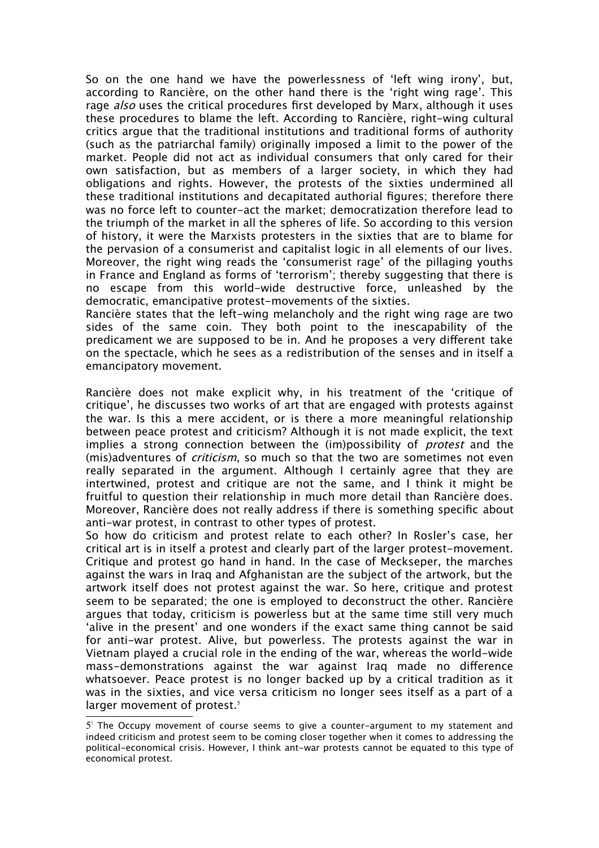So on the one hand we have the powerlessness of 'left wing irony', but, according to Rancière, on the other hand there is the 'right wing rage'. This rage *also* uses the critical procedures first developed by Marx, although it uses these procedures to blame the left. According to Rancière, right-wing cultural critics argue that the traditional institutions and traditional forms of authority (such as the patriarchal family) originally imposed a limit to the power of the market. People did not act as individual consumers that only cared for their own satisfaction, but as members of a larger society, in which they had obligations and rights. However, the protests of the sixties undermined all these traditional institutions and decapitated authorial fgures; therefore there was no force left to counter-act the market; democratization therefore lead to the triumph of the market in all the spheres of life. So according to this version of history, it were the Marxists protesters in the sixties that are to blame for the pervasion of a consumerist and capitalist logic in all elements of our lives. Moreover, the right wing reads the 'consumerist rage' of the pillaging youths in France and England as forms of 'terrorism'; thereby suggesting that there is no escape from this world-wide destructive force, unleashed by the democratic, emancipative protest-movements of the sixties.

Rancière states that the left-wing melancholy and the right wing rage are two sides of the same coin. They both point to the inescapability of the predicament we are supposed to be in. And he proposes a very diferent take on the spectacle, which he sees as a redistribution of the senses and in itself a emancipatory movement.

Rancière does not make explicit why, in his treatment of the 'critique of critique', he discusses two works of art that are engaged with protests against the war. Is this a mere accident, or is there a more meaningful relationship between peace protest and criticism? Although it is not made explicit, the text implies a strong connection between the (im)possibility of *protest* and the (mis)adventures of *criticism*, so much so that the two are sometimes not even really separated in the argument. Although I certainly agree that they are intertwined, protest and critique are not the same, and I think it might be fruitful to question their relationship in much more detail than Rancière does. Moreover, Rancière does not really address if there is something specifc about anti-war protest, in contrast to other types of protest.

So how do criticism and protest relate to each other? In Rosler's case, her critical art is in itself a protest and clearly part of the larger protest-movement. Critique and protest go hand in hand. In the case of Meckseper, the marches against the wars in Iraq and Afghanistan are the subject of the artwork, but the artwork itself does not protest against the war. So here, critique and protest seem to be separated; the one is employed to deconstruct the other. Rancière argues that today, criticism is powerless but at the same time still very much 'alive in the present' and one wonders if the exact same thing cannot be said for anti-war protest. Alive, but powerless. The protests against the war in Vietnam played a crucial role in the ending of the war, whereas the world-wide mass-demonstrations against the war against Iraq made no diference whatsoever. Peace protest is no longer backed up by a critical tradition as it was in the sixties, and vice versa criticism no longer sees itself as a part of a larger movement of protest. $5$ 

<span id="page-2-0"></span><sup>5&</sup>lt;sup>1</sup> The Occupy movement of course seems to give a counter-argument to my statement and indeed criticism and protest seem to be coming closer together when it comes to addressing the political-economical crisis. However, I think ant-war protests cannot be equated to this type of economical protest.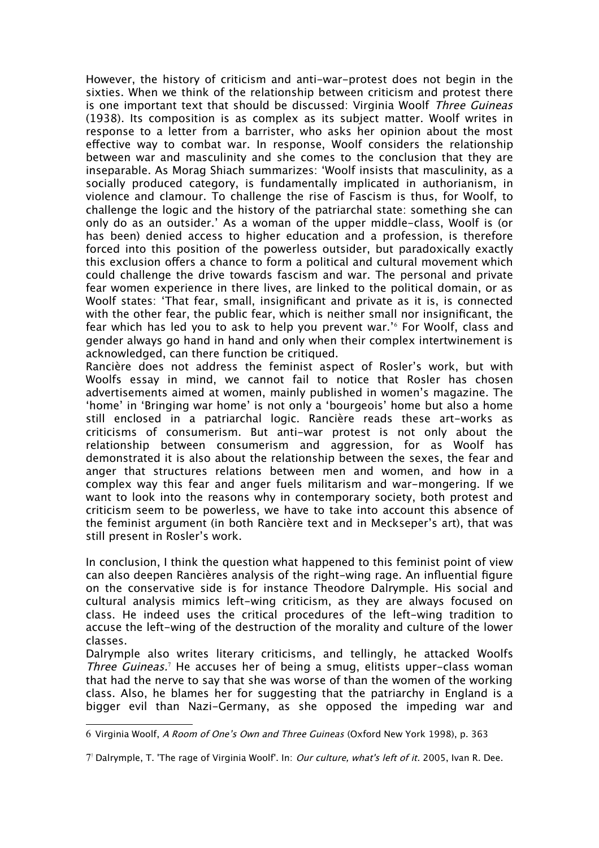However, the history of criticism and anti-war-protest does not begin in the sixties. When we think of the relationship between criticism and protest there is one important text that should be discussed: Virginia Woolf Three Guineas (1938). Its composition is as complex as its subject matter. Woolf writes in response to a letter from a barrister, who asks her opinion about the most efective way to combat war. In response, Woolf considers the relationship between war and masculinity and she comes to the conclusion that they are inseparable. As Morag Shiach summarizes: 'Woolf insists that masculinity, as a socially produced category, is fundamentally implicated in authorianism, in violence and clamour. To challenge the rise of Fascism is thus, for Woolf, to challenge the logic and the history of the patriarchal state: something she can only do as an outsider.' As a woman of the upper middle-class, Woolf is (or has been) denied access to higher education and a profession, is therefore forced into this position of the powerless outsider, but paradoxically exactly this exclusion ofers a chance to form a political and cultural movement which could challenge the drive towards fascism and war. The personal and private fear women experience in there lives, are linked to the political domain, or as Woolf states: 'That fear, small, insignifcant and private as it is, is connected with the other fear, the public fear, which is neither small nor insignifcant, the fear which has led you to ask to help you prevent war.'[6](#page-3-0) For Woolf, class and gender always go hand in hand and only when their complex intertwinement is acknowledged, can there function be critiqued.

Rancière does not address the feminist aspect of Rosler's work, but with Woolfs essay in mind, we cannot fail to notice that Rosler has chosen advertisements aimed at women, mainly published in women's magazine. The 'home' in 'Bringing war home' is not only a 'bourgeois' home but also a home still enclosed in a patriarchal logic. Rancière reads these art-works as criticisms of consumerism. But anti-war protest is not only about the relationship between consumerism and aggression, for as Woolf has demonstrated it is also about the relationship between the sexes, the fear and anger that structures relations between men and women, and how in a complex way this fear and anger fuels militarism and war-mongering. If we want to look into the reasons why in contemporary society, both protest and criticism seem to be powerless, we have to take into account this absence of the feminist argument (in both Rancière text and in Meckseper's art), that was still present in Rosler's work.

In conclusion, I think the question what happened to this feminist point of view can also deepen Rancières analysis of the right-wing rage. An infuential fgure on the conservative side is for instance Theodore Dalrymple. His social and cultural analysis mimics left-wing criticism, as they are always focused on class. He indeed uses the critical procedures of the left-wing tradition to accuse the left-wing of the destruction of the morality and culture of the lower classes.

Dalrymple also writes literary criticisms, and tellingly, he attacked Woolfs Three Guineas.<sup>[7](#page-3-1)</sup> He accuses her of being a smug, elitists upper-class woman that had the nerve to say that she was worse of than the women of the working class. Also, he blames her for suggesting that the patriarchy in England is a bigger evil than Nazi-Germany, as she opposed the impeding war and

<span id="page-3-0"></span>6 Virginia Woolf, A Room of One's Own and Three Guineas (Oxford New York 1998), p. 363

<span id="page-3-1"></span><sup>7&</sup>lt;sup>1</sup> Dalrymple, T. 'The rage of Virginia Woolf'. In: *Our culture, what's left of it*. 2005, Ivan R. Dee.